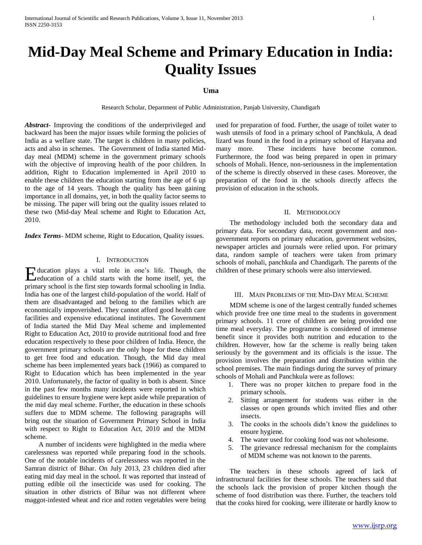# **Mid-Day Meal Scheme and Primary Education in India: Quality Issues**

## **Uma**

Research Scholar, Department of Public Administration, Panjab University, Chandigarh

*Abstract***-** Improving the conditions of the underprivileged and backward has been the major issues while forming the policies of India as a welfare state. The target is children in many policies, acts and also in schemes. The Government of India started Midday meal (MDM) scheme in the government primary schools with the objective of improving health of the poor children. In addition, Right to Education implemented in April 2010 to enable these children the education starting from the age of 6 up to the age of 14 years. Though the quality has been gaining importance in all domains, yet, in both the quality factor seems to be missing. The paper will bring out the quality issues related to these two (Mid-day Meal scheme and Right to Education Act, 2010.

*Index Terms*- MDM scheme, Right to Education, Quality issues.

### I. INTRODUCTION

ducation plays a vital role in one's life. Though, the Education plays a vital role in one's life. Though, the education of a child starts with the home itself, yet, the primary school is the first step towards formal schooling in India. India has one of the largest child-population of the world. Half of them are disadvantaged and belong to the families which are economically impoverished. They cannot afford good health care facilities and expensive educational institutes. The Government of India started the Mid Day Meal scheme and implemented Right to Education Act, 2010 to provide nutritional food and free education respectively to these poor children of India. Hence, the government primary schools are the only hope for these children to get free food and education. Though, the Mid day meal scheme has been implemented years back (1966) as compared to Right to Education which has been implemented in the year 2010. Unfortunately, the factor of quality in both is absent. Since in the past few months many incidents were reported in which guidelines to ensure hygiene were kept aside while preparation of the mid day meal scheme. Further, the education in these schools suffers due to MDM scheme. The following paragraphs will bring out the situation of Government Primary School in India with respect to Right to Education Act, 2010 and the MDM scheme.

 A number of incidents were highlighted in the media where carelessness was reported while preparing food in the schools. One of the notable incidents of carelessness was reported in the Samran district of Bihar. On July 2013, 23 children died after eating mid day meal in the school. It was reported that instead of putting edible oil the insecticide was used for cooking. The situation in other districts of Bihar was not different where maggot-infested wheat and rice and rotten vegetables were being used for preparation of food. Further, the usage of toilet water to wash utensils of food in a primary school of Panchkula, A dead lizard was found in the food in a primary school of Haryana and many more. These incidents have become common. Furthermore, the food was being prepared in open in primary schools of Mohali. Hence, non-seriousness in the implementation of the scheme is directly observed in these cases. Moreover, the preparation of the food in the schools directly affects the provision of education in the schools.

### II. METHODOLOGY

 The methodology included both the secondary data and primary data. For secondary data, recent government and nongovernment reports on primary education, government websites, newspaper articles and journals were relied upon. For primary data, random sample of teachers were taken from primary schools of mohali, panchkula and Chandigarh. The parents of the children of these primary schools were also interviewed.

#### III. MAIN PROBLEMS OF THE MID-DAY MEAL SCHEME

 MDM scheme is one of the largest centrally funded schemes which provide free one time meal to the students in government primary schools. 11 crore of children are being provided one time meal everyday. The programme is considered of immense benefit since it provides both nutrition and education to the children. However, how far the scheme is really being taken seriously by the government and its officials is the issue. The provision involves the preparation and distribution within the school premises. The main findings during the survey of primary schools of Mohali and Panchkula were as follows:

- 1. There was no proper kitchen to prepare food in the primary schools.
- 2. Sitting arrangement for students was either in the classes or open grounds which invited flies and other insects.
- 3. The cooks in the schools didn't know the guidelines to ensure hygiene.
- 4. The water used for cooking food was not wholesome.
- 5. The grievance redressal mechanism for the complaints of MDM scheme was not known to the parents.

 The teachers in these schools agreed of lack of infrastructural facilities for these schools. The teachers said that the schools lack the provision of proper kitchen though the scheme of food distribution was there. Further, the teachers told that the cooks hired for cooking, were illiterate or hardly know to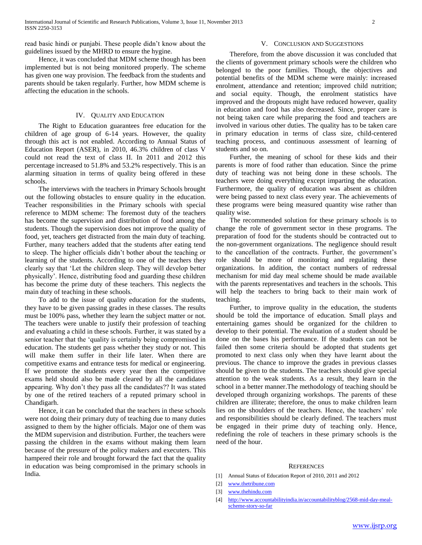read basic hindi or punjabi. These people didn't know about the guidelines issued by the MHRD to ensure the hygine.

 Hence, it was concluded that MDM scheme though has been implemented but is not being monitored properly. The scheme has given one way provision. The feedback from the students and parents should be taken regularly. Further, how MDM scheme is affecting the education in the schools.

#### IV. QUALITY AND EDUCATION

 The Right to Education guarantees free education for the children of age group of 6-14 years. However, the quality through this act is not enabled. According to Annual Status of Education Report (ASER), in 2010, 46.3% children of class V could not read the text of class II. In 2011 and 2012 this percentage increased to 51.8% and 53.2% respectively. This is an alarming situation in terms of quality being offered in these schools.

 The interviews with the teachers in Primary Schools brought out the following obstacles to ensure quality in the education. Teacher responsibilities in the Primary schools with special reference to MDM scheme: The foremost duty of the teachers has become the supervision and distribution of food among the students. Though the supervision does not improve the quality of food, yet, teachers get distracted from the main duty of teaching. Further, many teachers added that the students after eating tend to sleep. The higher officials didn't bother about the teaching or learning of the students. According to one of the teachers they clearly say that 'Let the children sleep. They will develop better physically'. Hence, distributing food and guarding these children has become the prime duty of these teachers. This neglects the main duty of teaching in these schools.

 To add to the issue of quality education for the students, they have to be given passing grades in these classes. The results must be 100% pass, whether they learn the subject matter or not. The teachers were unable to justify their profession of teaching and evaluating a child in these schools. Further, it was stated by a senior teacher that the 'quality is certainly being compromised in education. The students get pass whether they study or not. This will make them suffer in their life later. When there are competitive exams and entrance tests for medical or engineering. If we promote the students every year then the competitive exams held should also be made cleared by all the candidates appearing. Why don't they pass all the candidates?? It was stated by one of the retired teachers of a reputed primary school in Chandigarh.

 Hence, it can be concluded that the teachers in these schools were not doing their primary duty of teaching due to many duties assigned to them by the higher officials. Major one of them was the MDM supervision and distribution. Further, the teachers were passing the children in the exams without making them learn because of the pressure of the policy makers and executers. This hampered their role and brought forward the fact that the quality in education was being compromised in the primary schools in India.

#### V. CONCLUSION AND SUGGESTIONS

 Therefore, from the above discussion it was concluded that the clients of government primary schools were the children who belonged to the poor families. Though, the objectives and potential benefits of the MDM scheme were mainly: increased enrolment, attendance and retention; improved child nutrition; and social equity. Though, the enrolment statistics have improved and the dropouts might have reduced however, quality in education and food has also decreased. Since, proper care is not being taken care while preparing the food and teachers are involved in various other duties. The quality has to be taken care in primary education in terms of class size, child-centered teaching process, and continuous assessment of learning of students and so on.

 Further, the meaning of school for these kids and their parents is more of food rather than education. Since the prime duty of teaching was not being done in these schools. The teachers were doing everything except imparting the education. Furthermore, the quality of education was absent as children were being passed to next class every year. The achievements of these programs were being measured quantity wise rather than quality wise.

 The recommended solution for these primary schools is to change the role of government sector in these programs. The preparation of food for the students should be contracted out to the non-government organizations. The negligence should result to the cancellation of the contracts. Further, the government's role should be more of monitoring and regulating these organizations. In addition, the contact numbers of redressal mechanism for mid day meal scheme should be made available with the parents representatives and teachers in the schools. This will help the teachers to bring back to their main work of teaching.

 Further, to improve quality in the education, the students should be told the importance of education. Small plays and entertaining games should be organized for the children to develop to their potential. The evaluation of a student should be done on the bases his performance. If the students can not be failed then some criteria should be adopted that students get promoted to next class only when they have learnt about the previous. The chance to improve the grades in previous classes should be given to the students. The teachers should give special attention to the weak students. As a result, they learn in the school in a better manner.The methodology of teaching should be developed through organizing workshops. The parents of these children are illiterate; therefore, the onus to make children learn lies on the shoulders of the teachers. Hence, the teachers' role and responsibilities should be clearly defined. The teachers must be engaged in their prime duty of teaching only. Hence, redefining the role of teachers in these primary schools is the need of the hour.

#### **REFERENCES**

- [1] Annual Status of Education Report of 2010, 2011 and 2012
- [2] [www.thetribune.com](http://www.thetribune.com/)
- [3] [www.thehindu.com](http://www.thehindu.com/)
- [4] [http://www.accountabilityindia.in/accountabilityblog/2568-mid-day-meal](http://www.accountabilityindia.in/accountabilityblog/2568-mid-day-meal-scheme-story-so-far)[scheme-story-so-far](http://www.accountabilityindia.in/accountabilityblog/2568-mid-day-meal-scheme-story-so-far)